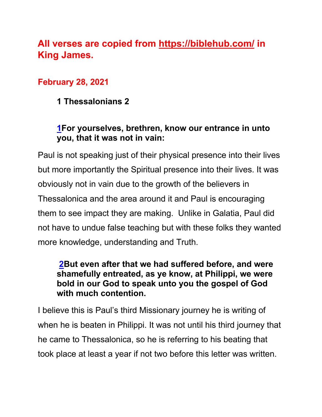# **All verses are copied from https://biblehub.com/ in King James.**

### **February 28, 2021**

**1 Thessalonians 2**

### **1For yourselves, brethren, know our entrance in unto you, that it was not in vain:**

Paul is not speaking just of their physical presence into their lives but more importantly the Spiritual presence into their lives. It was obviously not in vain due to the growth of the believers in Thessalonica and the area around it and Paul is encouraging them to see impact they are making. Unlike in Galatia, Paul did not have to undue false teaching but with these folks they wanted more knowledge, understanding and Truth.

#### **2But even after that we had suffered before, and were shamefully entreated, as ye know, at Philippi, we were bold in our God to speak unto you the gospel of God with much contention.**

I believe this is Paul's third Missionary journey he is writing of when he is beaten in Philippi. It was not until his third journey that he came to Thessalonica, so he is referring to his beating that took place at least a year if not two before this letter was written.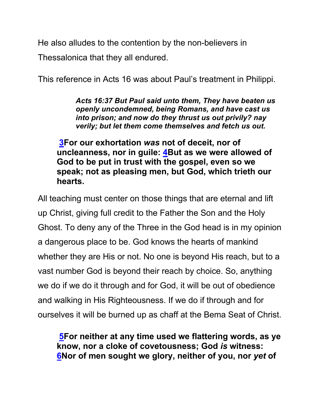He also alludes to the contention by the non-believers in Thessalonica that they all endured.

This reference in Acts 16 was about Paul's treatment in Philippi.

*Acts 16:37 But Paul said unto them, They have beaten us openly uncondemned, being Romans, and have cast us into prison; and now do they thrust us out privily? nay verily; but let them come themselves and fetch us out.*

**3For our exhortation** *was* **not of deceit, nor of uncleanness, nor in guile: 4But as we were allowed of God to be put in trust with the gospel, even so we speak; not as pleasing men, but God, which trieth our hearts.**

All teaching must center on those things that are eternal and lift up Christ, giving full credit to the Father the Son and the Holy Ghost. To deny any of the Three in the God head is in my opinion a dangerous place to be. God knows the hearts of mankind whether they are His or not. No one is beyond His reach, but to a vast number God is beyond their reach by choice. So, anything we do if we do it through and for God, it will be out of obedience and walking in His Righteousness. If we do if through and for ourselves it will be burned up as chaff at the Bema Seat of Christ.

**5For neither at any time used we flattering words, as ye know, nor a cloke of covetousness; God** *is* **witness: 6Nor of men sought we glory, neither of you, nor** *yet* **of**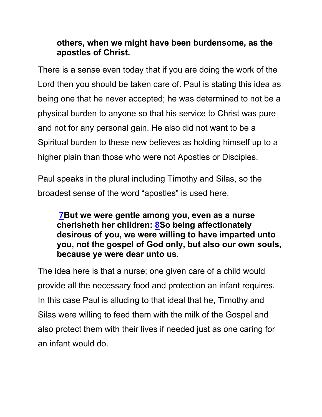### **others, when we might have been burdensome, as the apostles of Christ.**

There is a sense even today that if you are doing the work of the Lord then you should be taken care of. Paul is stating this idea as being one that he never accepted; he was determined to not be a physical burden to anyone so that his service to Christ was pure and not for any personal gain. He also did not want to be a Spiritual burden to these new believes as holding himself up to a higher plain than those who were not Apostles or Disciples.

Paul speaks in the plural including Timothy and Silas, so the broadest sense of the word "apostles" is used here.

**7But we were gentle among you, even as a nurse cherisheth her children: 8So being affectionately desirous of you, we were willing to have imparted unto you, not the gospel of God only, but also our own souls, because ye were dear unto us.**

The idea here is that a nurse; one given care of a child would provide all the necessary food and protection an infant requires. In this case Paul is alluding to that ideal that he, Timothy and Silas were willing to feed them with the milk of the Gospel and also protect them with their lives if needed just as one caring for an infant would do.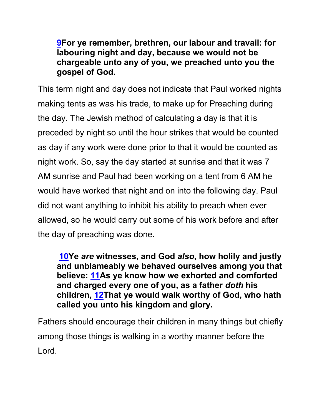#### **9For ye remember, brethren, our labour and travail: for labouring night and day, because we would not be chargeable unto any of you, we preached unto you the gospel of God.**

This term night and day does not indicate that Paul worked nights making tents as was his trade, to make up for Preaching during the day. The Jewish method of calculating a day is that it is preceded by night so until the hour strikes that would be counted as day if any work were done prior to that it would be counted as night work. So, say the day started at sunrise and that it was 7 AM sunrise and Paul had been working on a tent from 6 AM he would have worked that night and on into the following day. Paul did not want anything to inhibit his ability to preach when ever allowed, so he would carry out some of his work before and after the day of preaching was done.

**10Ye** *are* **witnesses, and God** *also***, how holily and justly and unblameably we behaved ourselves among you that believe: 11As ye know how we exhorted and comforted and charged every one of you, as a father** *doth* **his children, 12That ye would walk worthy of God, who hath called you unto his kingdom and glory.**

Fathers should encourage their children in many things but chiefly among those things is walking in a worthy manner before the Lord.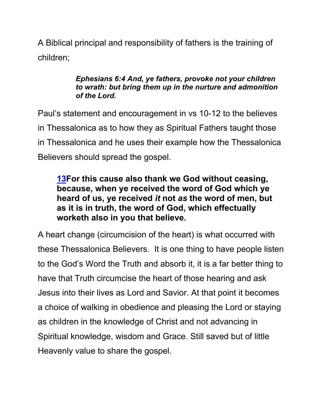A Biblical principal and responsibility of fathers is the training of children;

#### *Ephesians 6:4 And, ye fathers, provoke not your children to wrath: but bring them up in the nurture and admonition of the Lord.*

Paul's statement and encouragement in vs 10-12 to the believes in Thessalonica as to how they as Spiritual Fathers taught those in Thessalonica and he uses their example how the Thessalonica Believers should spread the gospel.

### **13For this cause also thank we God without ceasing, because, when ye received the word of God which ye heard of us, ye received** *it* **not** *as* **the word of men, but as it is in truth, the word of God, which effectually worketh also in you that believe.**

A heart change (circumcision of the heart) is what occurred with these Thessalonica Believers. It is one thing to have people listen to the God's Word the Truth and absorb it, it is a far better thing to have that Truth circumcise the heart of those hearing and ask Jesus into their lives as Lord and Savior. At that point it becomes a choice of walking in obedience and pleasing the Lord or staying as children in the knowledge of Christ and not advancing in Spiritual knowledge, wisdom and Grace. Still saved but of little Heavenly value to share the gospel.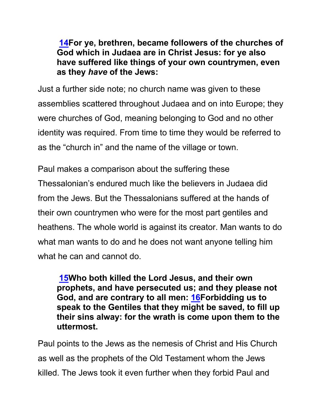**14For ye, brethren, became followers of the churches of God which in Judaea are in Christ Jesus: for ye also have suffered like things of your own countrymen, even as they** *have* **of the Jews:**

Just a further side note; no church name was given to these assemblies scattered throughout Judaea and on into Europe; they were churches of God, meaning belonging to God and no other identity was required. From time to time they would be referred to as the "church in" and the name of the village or town.

Paul makes a comparison about the suffering these Thessalonian's endured much like the believers in Judaea did from the Jews. But the Thessalonians suffered at the hands of their own countrymen who were for the most part gentiles and heathens. The whole world is against its creator. Man wants to do what man wants to do and he does not want anyone telling him what he can and cannot do.

**15Who both killed the Lord Jesus, and their own prophets, and have persecuted us; and they please not God, and are contrary to all men: 16Forbidding us to speak to the Gentiles that they might be saved, to fill up their sins alway: for the wrath is come upon them to the uttermost.**

Paul points to the Jews as the nemesis of Christ and His Church as well as the prophets of the Old Testament whom the Jews killed. The Jews took it even further when they forbid Paul and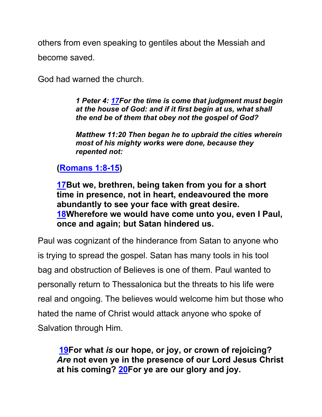others from even speaking to gentiles about the Messiah and become saved.

God had warned the church.

*1 Peter 4: 17For the time is come that judgment must begin at the house of God: and if it first begin at us, what shall the end be of them that obey not the gospel of God?* 

*Matthew 11:20 Then began he to upbraid the cities wherein most of his mighty works were done, because they repented not:*

#### **(Romans 1:8-15)**

**17But we, brethren, being taken from you for a short time in presence, not in heart, endeavoured the more abundantly to see your face with great desire. 18Wherefore we would have come unto you, even I Paul, once and again; but Satan hindered us.**

Paul was cognizant of the hinderance from Satan to anyone who is trying to spread the gospel. Satan has many tools in his tool bag and obstruction of Believes is one of them. Paul wanted to personally return to Thessalonica but the threats to his life were real and ongoing. The believes would welcome him but those who hated the name of Christ would attack anyone who spoke of Salvation through Him.

**19For what** *is* **our hope, or joy, or crown of rejoicing?**  *Are* **not even ye in the presence of our Lord Jesus Christ at his coming? 20For ye are our glory and joy.**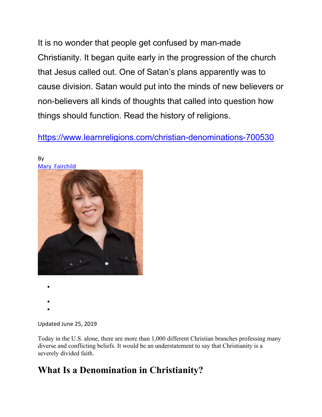It is no wonder that people get confused by man-made Christianity. It began quite early in the progression of the church that Jesus called out. One of Satan's plans apparently was to cause division. Satan would put into the minds of new believers or non-believers all kinds of thoughts that called into question how things should function. Read the history of religions.

https://www.learnreligions.com/christian-denominations-700530



By Mary Fairchild

- •
- •
- •

Updated June 25, 2019

Today in the U.S. alone, there are more than 1,000 different Christian branches professing many diverse and conflicting beliefs. It would be an understatement to say that Christianity is a severely divided faith.

### **What Is a Denomination in Christianity?**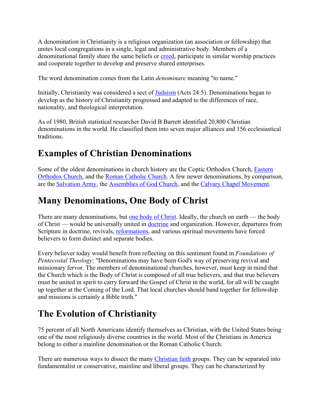A denomination in Christianity is a religious organization (an association or fellowship) that unites local congregations in a single, legal and administrative body. Members of a denominational family share the same beliefs or creed, participate in similar worship practices and cooperate together to develop and preserve shared enterprises.

The word denomination comes from the Latin *denominare* meaning "to name."

Initially, Christianity was considered a sect of **Judaism** (Acts 24:5). Denominations began to develop as the history of Christianity progressed and adapted to the differences of race, nationality, and theological interpretation.

As of 1980, British statistical researcher David B Barrett identified 20,800 Christian denominations in the world. He classified them into seven major alliances and 156 ecclesiastical traditions.

### **Examples of Christian Denominations**

Some of the oldest denominations in church history are the Coptic Orthodox Church, Eastern Orthodox Church, and the Roman Catholic Church. A few newer denominations, by comparison, are the Salvation Army, the Assemblies of God Church, and the Calvary Chapel Movement.

### **Many Denominations, One Body of Christ**

There are many denominations, but one body of Christ. Ideally, the church on earth — the body of Christ — would be universally united in doctrine and organization. However, departures from Scripture in doctrine, revivals, reformations, and various spiritual movements have forced believers to form distinct and separate bodies.

Every believer today would benefit from reflecting on this sentiment found in *Foundations of Pentecostal Theology*: "Denominations may have been God's way of preserving revival and missionary fervor. The members of denominational churches, however, must keep in mind that the Church which is the Body of Christ is composed of all true believers, and that true believers must be united in spirit to carry forward the Gospel of Christ in the world, for all will be caught up together at the Coming of the Lord. That local churches should band together for fellowship and missions is certainly a Bible truth."

### **The Evolution of Christianity**

75 percent of all North Americans identify themselves as Christian, with the United States being one of the most religiously diverse countries in the world. Most of the Christians in America belong to either a mainline denomination or the Roman Catholic Church.

There are numerous ways to dissect the many Christian faith groups. They can be separated into fundamentalist or conservative, mainline and liberal groups. They can be characterized by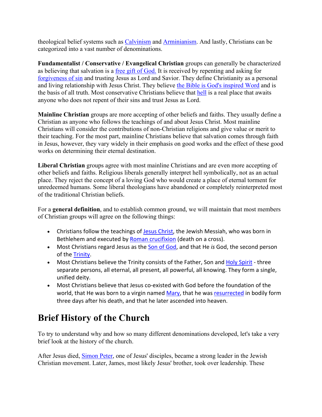theological belief systems such as Calvinism and Arminianism. And lastly, Christians can be categorized into a vast number of denominations.

**Fundamentalist / Conservative / Evangelical Christian** groups can generally be characterized as believing that salvation is a free gift of God. It is received by repenting and asking for forgiveness of sin and trusting Jesus as Lord and Savior. They define Christianity as a personal and living relationship with Jesus Christ. They believe the Bible is God's inspired Word and is the basis of all truth. Most conservative Christians believe that hell is a real place that awaits anyone who does not repent of their sins and trust Jesus as Lord.

**Mainline Christian** groups are more accepting of other beliefs and faiths. They usually define a Christian as anyone who follows the teachings of and about Jesus Christ. Most mainline Christians will consider the contributions of non-Christian religions and give value or merit to their teaching. For the most part, mainline Christians believe that salvation comes through faith in Jesus, however, they vary widely in their emphasis on good works and the effect of these good works on determining their eternal destination.

**Liberal Christian** groups agree with most mainline Christians and are even more accepting of other beliefs and faiths. Religious liberals generally interpret hell symbolically, not as an actual place. They reject the concept of a loving God who would create a place of eternal torment for unredeemed humans. Some liberal theologians have abandoned or completely reinterpreted most of the traditional Christian beliefs.

For a **general definition**, and to establish common ground, we will maintain that most members of Christian groups will agree on the following things:

- Christians follow the teachings of Jesus Christ, the Jewish Messiah, who was born in Bethlehem and executed by Roman crucifixion (death on a cross).
- Most Christians regard Jesus as the Son of God, and that He *is* God, the second person of the Trinity.
- Most Christians believe the Trinity consists of the Father, Son and Holy Spirit three separate persons, all eternal, all present, all powerful, all knowing. They form a single, unified deity.
- Most Christians believe that Jesus co-existed with God before the foundation of the world, that He was born to a virgin named Mary, that he was resurrected in bodily form three days after his death, and that he later ascended into heaven.

# **Brief History of the Church**

To try to understand why and how so many different denominations developed, let's take a very brief look at the history of the church.

After Jesus died, **Simon Peter**, one of Jesus' disciples, became a strong leader in the Jewish Christian movement. Later, James, most likely Jesus' brother, took over leadership. These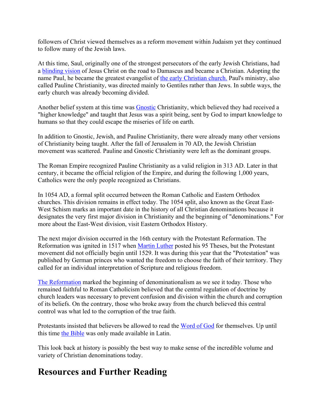followers of Christ viewed themselves as a reform movement within Judaism yet they continued to follow many of the Jewish laws.

At this time, Saul, originally one of the strongest persecutors of the early Jewish Christians, had a blinding vision of Jesus Christ on the road to Damascus and became a Christian. Adopting the name Paul, he became the greatest evangelist of the early Christian church. Paul's ministry, also called Pauline Christianity, was directed mainly to Gentiles rather than Jews. In subtle ways, the early church was already becoming divided.

Another belief system at this time was Gnostic Christianity, which believed they had received a "higher knowledge" and taught that Jesus was a spirit being, sent by God to impart knowledge to humans so that they could escape the miseries of life on earth.

In addition to Gnostic, Jewish, and Pauline Christianity, there were already many other versions of Christianity being taught. After the fall of Jerusalem in 70 AD, the Jewish Christian movement was scattered. Pauline and Gnostic Christianity were left as the dominant groups.

The Roman Empire recognized Pauline Christianity as a valid religion in 313 AD. Later in that century, it became the official religion of the Empire, and during the following 1,000 years, Catholics were the only people recognized as Christians.

In 1054 AD, a formal split occurred between the Roman Catholic and Eastern Orthodox churches. This division remains in effect today. The 1054 split, also known as the Great East-West Schism marks an important date in the history of all Christian denominations because it designates the very first major division in Christianity and the beginning of "denominations." For more about the East-West division, visit Eastern Orthodox History.

The next major division occurred in the 16th century with the Protestant Reformation. The Reformation was ignited in 1517 when Martin Luther posted his 95 Theses, but the Protestant movement did not officially begin until 1529. It was during this year that the "Protestation" was published by German princes who wanted the freedom to choose the faith of their territory. They called for an individual interpretation of Scripture and religious freedom.

The Reformation marked the beginning of denominationalism as we see it today. Those who remained faithful to Roman Catholicism believed that the central regulation of doctrine by church leaders was necessary to prevent confusion and division within the church and corruption of its beliefs. On the contrary, those who broke away from the church believed this central control was what led to the corruption of the true faith.

Protestants insisted that believers be allowed to read the Word of God for themselves. Up until this time the Bible was only made available in Latin.

This look back at history is possibly the best way to make sense of the incredible volume and variety of Christian denominations today.

### **Resources and Further Reading**